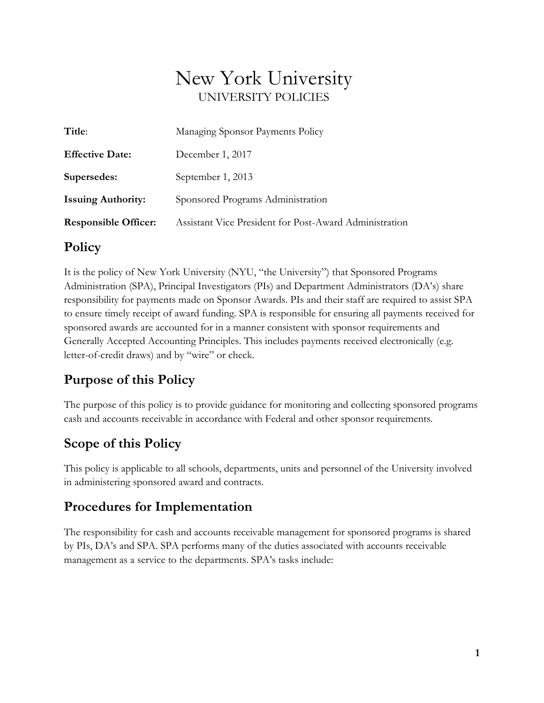# New York University UNIVERSITY POLICIES

| Title:                      | Managing Sponsor Payments Policy                       |
|-----------------------------|--------------------------------------------------------|
| <b>Effective Date:</b>      | December 1, 2017                                       |
| Supersedes:                 | September 1, 2013                                      |
| <b>Issuing Authority:</b>   | Sponsored Programs Administration                      |
| <b>Responsible Officer:</b> | Assistant Vice President for Post-Award Administration |

### **Policy**

It is the policy of New York University (NYU, "the University") that Sponsored Programs Administration (SPA), Principal Investigators (PIs) and Department Administrators (DA's) share responsibility for payments made on Sponsor Awards. PIs and their staff are required to assist SPA to ensure timely receipt of award funding. SPA is responsible for ensuring all payments received for sponsored awards are accounted for in a manner consistent with sponsor requirements and Generally Accepted Accounting Principles. This includes payments received electronically (e.g. letter-of-credit draws) and by "wire" or check.

### **Purpose of this Policy**

The purpose of this policy is to provide guidance for monitoring and collecting sponsored programs cash and accounts receivable in accordance with Federal and other sponsor requirements.

## **Scope of this Policy**

This policy is applicable to all schools, departments, units and personnel of the University involved in administering sponsored award and contracts.

### **Procedures for Implementation**

The responsibility for cash and accounts receivable management for sponsored programs is shared by PIs, DA's and SPA. SPA performs many of the duties associated with accounts receivable management as a service to the departments. SPA's tasks include: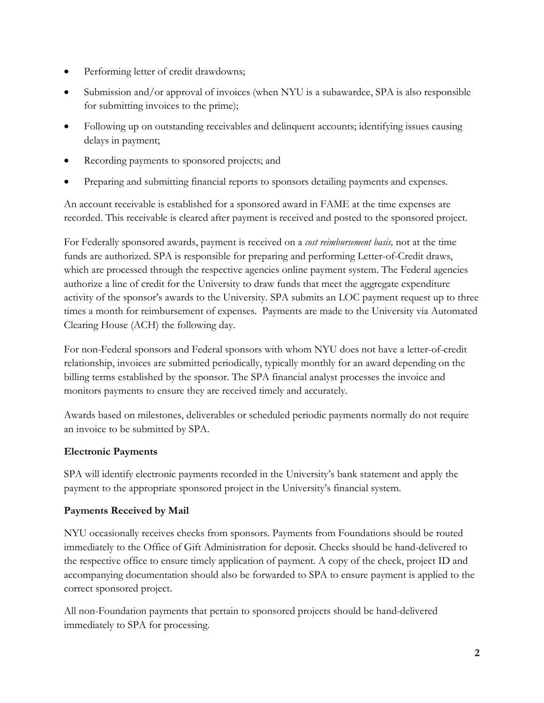- Performing letter of credit drawdowns;
- Submission and/or approval of invoices (when NYU is a subawardee, SPA is also responsible for submitting invoices to the prime);
- Following up on outstanding receivables and delinquent accounts; identifying issues causing delays in payment;
- Recording payments to sponsored projects; and
- Preparing and submitting financial reports to sponsors detailing payments and expenses.

An account receivable is established for a sponsored award in FAME at the time expenses are recorded. This receivable is cleared after payment is received and posted to the sponsored project.

For Federally sponsored awards, payment is received on a *cost reimbursement basis,* not at the time funds are authorized. SPA is responsible for preparing and performing Letter-of-Credit draws, which are processed through the respective agencies online payment system. The Federal agencies authorize a line of credit for the University to draw funds that meet the aggregate expenditure activity of the sponsor's awards to the University. SPA submits an LOC payment request up to three times a month for reimbursement of expenses. Payments are made to the University via Automated Clearing House (ACH) the following day.

For non-Federal sponsors and Federal sponsors with whom NYU does not have a letter-of-credit relationship, invoices are submitted periodically, typically monthly for an award depending on the billing terms established by the sponsor. The SPA financial analyst processes the invoice and monitors payments to ensure they are received timely and accurately.

Awards based on milestones, deliverables or scheduled periodic payments normally do not require an invoice to be submitted by SPA.

#### **Electronic Payments**

SPA will identify electronic payments recorded in the University's bank statement and apply the payment to the appropriate sponsored project in the University's financial system.

#### **Payments Received by Mail**

NYU occasionally receives checks from sponsors. Payments from Foundations should be routed immediately to the Office of Gift Administration for deposit. Checks should be hand-delivered to the respective office to ensure timely application of payment. A copy of the check, project ID and accompanying documentation should also be forwarded to SPA to ensure payment is applied to the correct sponsored project.

All non-Foundation payments that pertain to sponsored projects should be hand-delivered immediately to SPA for processing.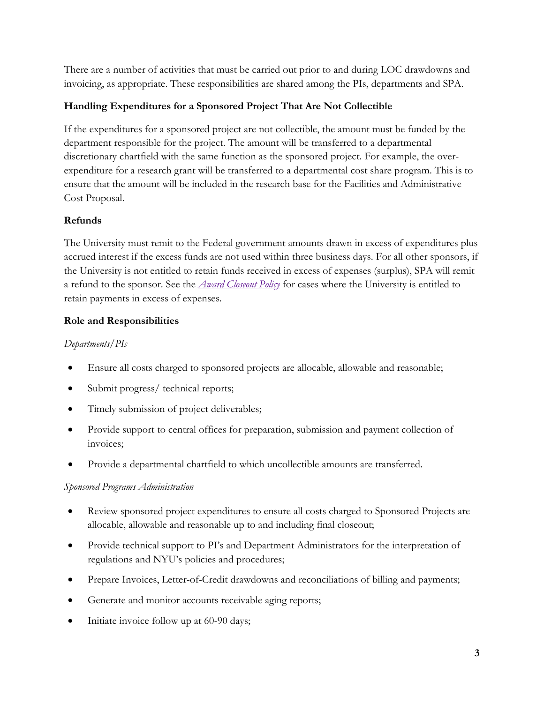There are a number of activities that must be carried out prior to and during LOC drawdowns and invoicing, as appropriate. These responsibilities are shared among the PIs, departments and SPA.

#### **Handling Expenditures for a Sponsored Project That Are Not Collectible**

If the expenditures for a sponsored project are not collectible, the amount must be funded by the department responsible for the project. The amount will be transferred to a departmental discretionary chartfield with the same function as the sponsored project. For example, the overexpenditure for a research grant will be transferred to a departmental cost share program. This is to ensure that the amount will be included in the research base for the Facilities and Administrative Cost Proposal.

#### **Refunds**

The University must remit to the Federal government amounts drawn in excess of expenditures plus accrued interest if the excess funds are not used within three business days. For all other sponsors, if the University is not entitled to retain funds received in excess of expenses (surplus), SPA will remit a refund to the sponsor. See the *[Award Closeout Policy](http://www.nyu.edu/about/policies-guidelines-compliance/policies-and-guidelines/award-closeout-policy-for-sponsored-programs.html)* for cases where the University is entitled to retain payments in excess of expenses.

#### **Role and Responsibilities**

#### *Departments/PIs*

- Ensure all costs charged to sponsored projects are allocable, allowable and reasonable;
- Submit progress/ technical reports;
- Timely submission of project deliverables;
- Provide support to central offices for preparation, submission and payment collection of invoices;
- Provide a departmental chartfield to which uncollectible amounts are transferred.

#### *Sponsored Programs Administration*

- Review sponsored project expenditures to ensure all costs charged to Sponsored Projects are allocable, allowable and reasonable up to and including final closeout;
- Provide technical support to PI's and Department Administrators for the interpretation of regulations and NYU's policies and procedures;
- Prepare Invoices, Letter-of-Credit drawdowns and reconciliations of billing and payments;
- Generate and monitor accounts receivable aging reports;
- Initiate invoice follow up at 60-90 days;